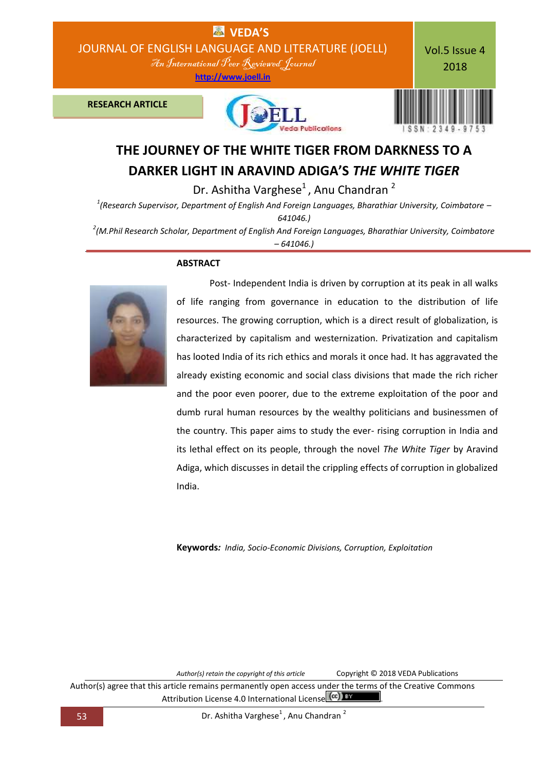

# **DARKER LIGHT IN ARAVIND ADIGA'S** *THE WHITE TIGER*

Dr. Ashitha Varghese $<sup>1</sup>$ , Anu Chandran  $<sup>2</sup>$ </sup></sup>

*1 (Research Supervisor, Department of English And Foreign Languages, Bharathiar University, Coimbatore – 641046.)*

*2 (M.Phil Research Scholar, Department of English And Foreign Languages, Bharathiar University, Coimbatore – 641046.)*

## **ABSTRACT**



Post- Independent India is driven by corruption at its peak in all walks of life ranging from governance in education to the distribution of life resources. The growing corruption, which is a direct result of globalization, is characterized by capitalism and westernization. Privatization and capitalism has looted India of its rich ethics and morals it once had. It has aggravated the already existing economic and social class divisions that made the rich richer and the poor even poorer, due to the extreme exploitation of the poor and dumb rural human resources by the wealthy politicians and businessmen of the country. This paper aims to study the ever- rising corruption in India and its lethal effect on its people, through the novel *The White Tiger* by Aravind Adiga, which discusses in detail the crippling effects of corruption in globalized India.

**Keywords***: India, Socio-Economic Divisions, Corruption, Exploitation*

*Author(s) retain the copyright of this article* Copyright © 2018 VEDA Publications

Author(s) agree that this article remains permanently open access under the terms of the Creative Commons Attribution License 4.0 International License (cc) BY

53 Dr. Ashitha Varghese<sup>1</sup>, Anu Chandran <sup>2</sup>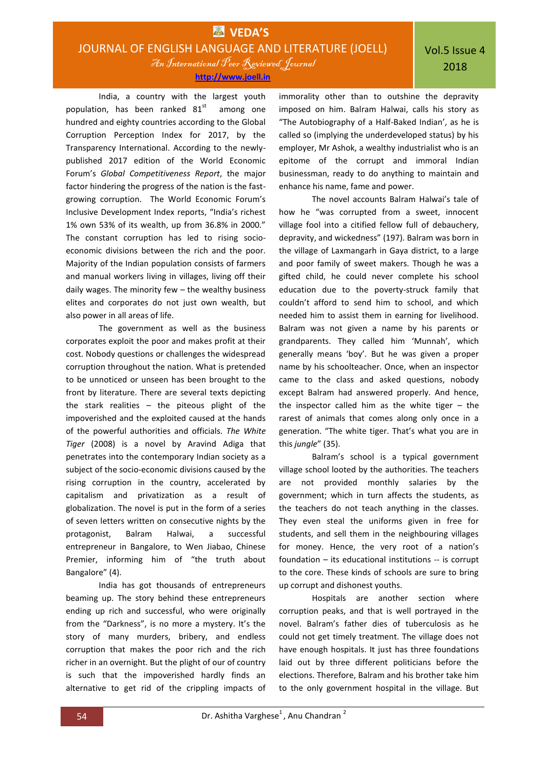**[http://www.joell.in](http://www.joell.in/)**

India, a country with the largest youth population, has been ranked  $81^{st}$ among one hundred and eighty countries according to the Global Corruption Perception Index for 2017, by the Transparency International. According to the newlypublished 2017 edition of the World Economic Forum's *Global Competitiveness Report*, the major factor hindering the progress of the nation is the fastgrowing corruption. The World Economic Forum's Inclusive Development Index reports, "India's richest 1% own 53% of its wealth, up from 36.8% in 2000." The constant corruption has led to rising socioeconomic divisions between the rich and the poor. Majority of the Indian population consists of farmers and manual workers living in villages, living off their daily wages. The minority few – the wealthy business elites and corporates do not just own wealth, but also power in all areas of life.

The government as well as the business corporates exploit the poor and makes profit at their cost. Nobody questions or challenges the widespread corruption throughout the nation. What is pretended to be unnoticed or unseen has been brought to the front by literature. There are several texts depicting the stark realities – the piteous plight of the impoverished and the exploited caused at the hands of the powerful authorities and officials. *The White Tiger* (2008) is a novel by Aravind Adiga that penetrates into the contemporary Indian society as a subject of the socio-economic divisions caused by the rising corruption in the country, accelerated by capitalism and privatization as a result of globalization. The novel is put in the form of a series of seven letters written on consecutive nights by the protagonist, Balram Halwai, a successful entrepreneur in Bangalore, to Wen Jiabao, Chinese Premier, informing him of "the truth about Bangalore" (4).

India has got thousands of entrepreneurs beaming up. The story behind these entrepreneurs ending up rich and successful, who were originally from the "Darkness", is no more a mystery. It's the story of many murders, bribery, and endless corruption that makes the poor rich and the rich richer in an overnight. But the plight of our of country is such that the impoverished hardly finds an alternative to get rid of the crippling impacts of

immorality other than to outshine the depravity imposed on him. Balram Halwai, calls his story as "The Autobiography of a Half-Baked Indian', as he is called so (implying the underdeveloped status) by his employer, Mr Ashok, a wealthy industrialist who is an epitome of the corrupt and immoral Indian businessman, ready to do anything to maintain and enhance his name, fame and power.

The novel accounts Balram Halwai's tale of how he "was corrupted from a sweet, innocent village fool into a citified fellow full of debauchery, depravity, and wickedness" (197). Balram was born in the village of Laxmangarh in Gaya district, to a large and poor family of sweet makers. Though he was a gifted child, he could never complete his school education due to the poverty-struck family that couldn't afford to send him to school, and which needed him to assist them in earning for livelihood. Balram was not given a name by his parents or grandparents. They called him 'Munnah', which generally means 'boy'. But he was given a proper name by his schoolteacher. Once, when an inspector came to the class and asked questions, nobody except Balram had answered properly. And hence, the inspector called him as the white tiger  $-$  the rarest of animals that comes along only once in a generation. "The white tiger. That's what you are in this *jungle*" (35).

Balram's school is a typical government village school looted by the authorities. The teachers are not provided monthly salaries by the government; which in turn affects the students, as the teachers do not teach anything in the classes. They even steal the uniforms given in free for students, and sell them in the neighbouring villages for money. Hence, the very root of a nation's foundation – its educational institutions -- is corrupt to the core. These kinds of schools are sure to bring up corrupt and dishonest youths.

Hospitals are another section where corruption peaks, and that is well portrayed in the novel. Balram's father dies of tuberculosis as he could not get timely treatment. The village does not have enough hospitals. It just has three foundations laid out by three different politicians before the elections. Therefore, Balram and his brother take him to the only government hospital in the village. But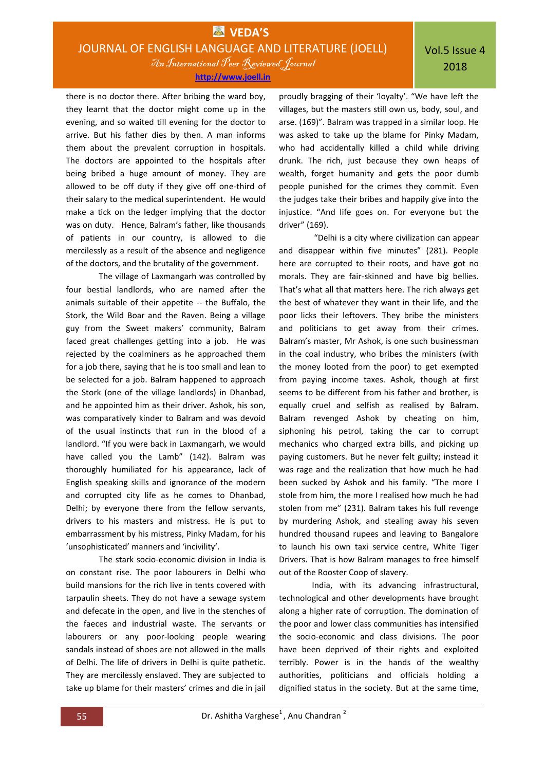**[http://www.joell.in](http://www.joell.in/)**

there is no doctor there. After bribing the ward boy, they learnt that the doctor might come up in the evening, and so waited till evening for the doctor to arrive. But his father dies by then. A man informs them about the prevalent corruption in hospitals. The doctors are appointed to the hospitals after being bribed a huge amount of money. They are allowed to be off duty if they give off one-third of their salary to the medical superintendent. He would make a tick on the ledger implying that the doctor was on duty. Hence, Balram's father, like thousands of patients in our country, is allowed to die mercilessly as a result of the absence and negligence of the doctors, and the brutality of the government.

The village of Laxmangarh was controlled by four bestial landlords, who are named after the animals suitable of their appetite -- the Buffalo, the Stork, the Wild Boar and the Raven. Being a village guy from the Sweet makers' community, Balram faced great challenges getting into a job. He was rejected by the coalminers as he approached them for a job there, saying that he is too small and lean to be selected for a job. Balram happened to approach the Stork (one of the village landlords) in Dhanbad, and he appointed him as their driver. Ashok, his son, was comparatively kinder to Balram and was devoid of the usual instincts that run in the blood of a landlord. "If you were back in Laxmangarh, we would have called you the Lamb" (142). Balram was thoroughly humiliated for his appearance, lack of English speaking skills and ignorance of the modern and corrupted city life as he comes to Dhanbad, Delhi; by everyone there from the fellow servants, drivers to his masters and mistress. He is put to embarrassment by his mistress, Pinky Madam, for his 'unsophisticated' manners and 'incivility'.

The stark socio-economic division in India is on constant rise. The poor labourers in Delhi who build mansions for the rich live in tents covered with tarpaulin sheets. They do not have a sewage system and defecate in the open, and live in the stenches of the faeces and industrial waste. The servants or labourers or any poor-looking people wearing sandals instead of shoes are not allowed in the malls of Delhi. The life of drivers in Delhi is quite pathetic. They are mercilessly enslaved. They are subjected to take up blame for their masters' crimes and die in jail

proudly bragging of their 'loyalty'. "We have left the villages, but the masters still own us, body, soul, and arse. (169)". Balram was trapped in a similar loop. He was asked to take up the blame for Pinky Madam, who had accidentally killed a child while driving drunk. The rich, just because they own heaps of wealth, forget humanity and gets the poor dumb people punished for the crimes they commit. Even the judges take their bribes and happily give into the injustice. "And life goes on. For everyone but the driver" (169).

"Delhi is a city where civilization can appear and disappear within five minutes" (281). People here are corrupted to their roots, and have got no morals. They are fair-skinned and have big bellies. That's what all that matters here. The rich always get the best of whatever they want in their life, and the poor licks their leftovers. They bribe the ministers and politicians to get away from their crimes. Balram's master, Mr Ashok, is one such businessman in the coal industry, who bribes the ministers (with the money looted from the poor) to get exempted from paying income taxes. Ashok, though at first seems to be different from his father and brother, is equally cruel and selfish as realised by Balram. Balram revenged Ashok by cheating on him, siphoning his petrol, taking the car to corrupt mechanics who charged extra bills, and picking up paying customers. But he never felt guilty; instead it was rage and the realization that how much he had been sucked by Ashok and his family. "The more I stole from him, the more I realised how much he had stolen from me" (231). Balram takes his full revenge by murdering Ashok, and stealing away his seven hundred thousand rupees and leaving to Bangalore to launch his own taxi service centre, White Tiger Drivers. That is how Balram manages to free himself out of the Rooster Coop of slavery.

India, with its advancing infrastructural, technological and other developments have brought along a higher rate of corruption. The domination of the poor and lower class communities has intensified the socio-economic and class divisions. The poor have been deprived of their rights and exploited terribly. Power is in the hands of the wealthy authorities, politicians and officials holding a dignified status in the society. But at the same time,